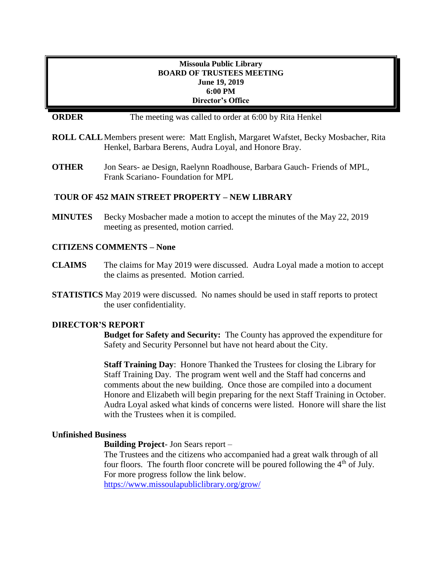### **Missoula Public Library BOARD OF TRUSTEES MEETING June 19, 2019 6:00 PM Director's Office**

## **ORDER** The meeting was called to order at 6:00 by Rita Henkel

- **ROLL CALL**Members present were: Matt English, Margaret Wafstet, Becky Mosbacher, Rita Henkel, Barbara Berens, Audra Loyal, and Honore Bray.
- **OTHER** Jon Sears- ae Design, Raelynn Roadhouse, Barbara Gauch- Friends of MPL, Frank Scariano- Foundation for MPL

### **TOUR OF 452 MAIN STREET PROPERTY – NEW LIBRARY**

**MINUTES** Becky Mosbacher made a motion to accept the minutes of the May 22, 2019 meeting as presented, motion carried.

### **CITIZENS COMMENTS – None**

- **CLAIMS** The claims for May 2019 were discussed. Audra Loyal made a motion to accept the claims as presented. Motion carried.
- **STATISTICS** May 2019 were discussed. No names should be used in staff reports to protect the user confidentiality.

#### **DIRECTOR'S REPORT**

**Budget for Safety and Security:** The County has approved the expenditure for Safety and Security Personnel but have not heard about the City.

**Staff Training Day**: Honore Thanked the Trustees for closing the Library for Staff Training Day. The program went well and the Staff had concerns and comments about the new building. Once those are compiled into a document Honore and Elizabeth will begin preparing for the next Staff Training in October. Audra Loyal asked what kinds of concerns were listed. Honore will share the list with the Trustees when it is compiled.

#### **Unfinished Business**

**Building Project**- Jon Sears report –

The Trustees and the citizens who accompanied had a great walk through of all four floors. The fourth floor concrete will be poured following the  $4<sup>th</sup>$  of July. For more progress follow the link below. <https://www.missoulapubliclibrary.org/grow/>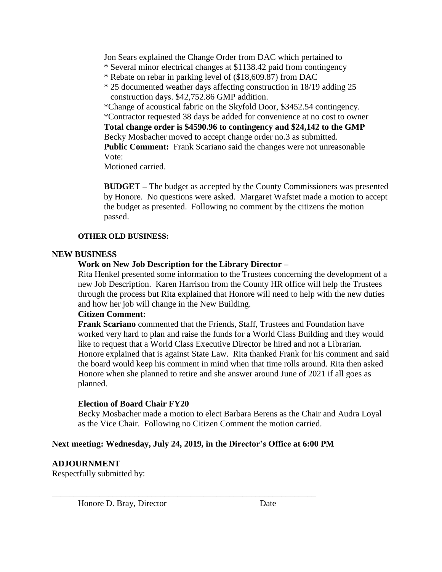Jon Sears explained the Change Order from DAC which pertained to

- \* Several minor electrical changes at \$1138.42 paid from contingency
- \* Rebate on rebar in parking level of (\$18,609.87) from DAC
- \* 25 documented weather days affecting construction in 18/19 adding 25 construction days. \$42,752.86 GMP addition.

\*Change of acoustical fabric on the Skyfold Door, \$3452.54 contingency. \*Contractor requested 38 days be added for convenience at no cost to owner **Total change order is \$4590.96 to contingency and \$24,142 to the GMP** Becky Mosbacher moved to accept change order no.3 as submitted. Public Comment: Frank Scariano said the changes were not unreasonable Vote:

Motioned carried.

**BUDGET –** The budget as accepted by the County Commissioners was presented by Honore. No questions were asked. Margaret Wafstet made a motion to accept the budget as presented. Following no comment by the citizens the motion passed.

## **OTHER OLD BUSINESS:**

## **NEW BUSINESS**

# **Work on New Job Description for the Library Director –**

Rita Henkel presented some information to the Trustees concerning the development of a new Job Description. Karen Harrison from the County HR office will help the Trustees through the process but Rita explained that Honore will need to help with the new duties and how her job will change in the New Building.

## **Citizen Comment:**

**Frank Scariano** commented that the Friends, Staff, Trustees and Foundation have worked very hard to plan and raise the funds for a World Class Building and they would like to request that a World Class Executive Director be hired and not a Librarian. Honore explained that is against State Law. Rita thanked Frank for his comment and said the board would keep his comment in mind when that time rolls around. Rita then asked Honore when she planned to retire and she answer around June of 2021 if all goes as planned.

# **Election of Board Chair FY20**

Becky Mosbacher made a motion to elect Barbara Berens as the Chair and Audra Loyal as the Vice Chair. Following no Citizen Comment the motion carried.

# **Next meeting: Wednesday, July 24, 2019, in the Director's Office at 6:00 PM**

\_\_\_\_\_\_\_\_\_\_\_\_\_\_\_\_\_\_\_\_\_\_\_\_\_\_\_\_\_\_\_\_\_\_\_\_\_\_\_\_\_\_\_\_\_\_\_\_\_\_\_\_\_\_\_\_\_\_\_\_\_

**ADJOURNMENT**  Respectfully submitted by:

Honore D. Bray, Director Date